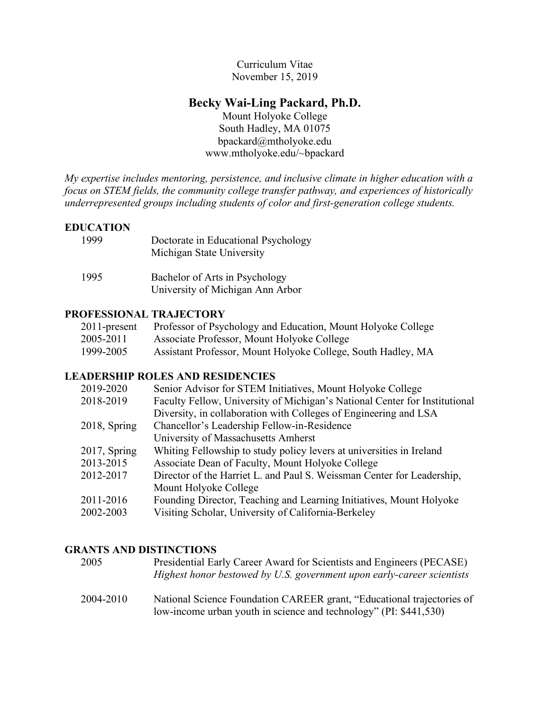Curriculum Vitae November 15, 2019

# **Becky Wai-Ling Packard, Ph.D.**

Mount Holyoke College South Hadley, MA 01075 bpackard@mtholyoke.edu www.mtholyoke.edu/~bpackard

*My expertise includes mentoring, persistence, and inclusive climate in higher education with a focus on STEM fields, the community college transfer pathway, and experiences of historically underrepresented groups including students of color and first-generation college students.*

## **EDUCATION**

| 1999 | Doctorate in Educational Psychology<br>Michigan State University   |
|------|--------------------------------------------------------------------|
| 1995 | Bachelor of Arts in Psychology<br>University of Michigan Ann Arbor |

## **PROFESSIONAL TRAJECTORY**

| 2011-present | Professor of Psychology and Education, Mount Holyoke College |
|--------------|--------------------------------------------------------------|
| 2005-2011    | Associate Professor, Mount Holyoke College                   |
| 1999-2005    | Assistant Professor, Mount Holyoke College, South Hadley, MA |

## **LEADERSHIP ROLES AND RESIDENCIES**

| 2019-2020       | Senior Advisor for STEM Initiatives, Mount Holyoke College                 |
|-----------------|----------------------------------------------------------------------------|
| 2018-2019       | Faculty Fellow, University of Michigan's National Center for Institutional |
|                 | Diversity, in collaboration with Colleges of Engineering and LSA           |
| 2018, Spring    | Chancellor's Leadership Fellow-in-Residence                                |
|                 | University of Massachusetts Amherst                                        |
| $2017$ , Spring | Whiting Fellowship to study policy levers at universities in Ireland       |
| 2013-2015       | Associate Dean of Faculty, Mount Holyoke College                           |
| 2012-2017       | Director of the Harriet L. and Paul S. Weissman Center for Leadership,     |
|                 | Mount Holyoke College                                                      |
| 2011-2016       | Founding Director, Teaching and Learning Initiatives, Mount Holyoke        |
| 2002-2003       | Visiting Scholar, University of California-Berkeley                        |

## **GRANTS AND DISTINCTIONS**

| 2005      | Presidential Early Career Award for Scientists and Engineers (PECASE)<br>Highest honor bestowed by U.S. government upon early-career scientists |
|-----------|-------------------------------------------------------------------------------------------------------------------------------------------------|
| 2004-2010 | National Science Foundation CAREER grant, "Educational trajectories of<br>low-income urban youth in science and technology" (PI: \$441,530)     |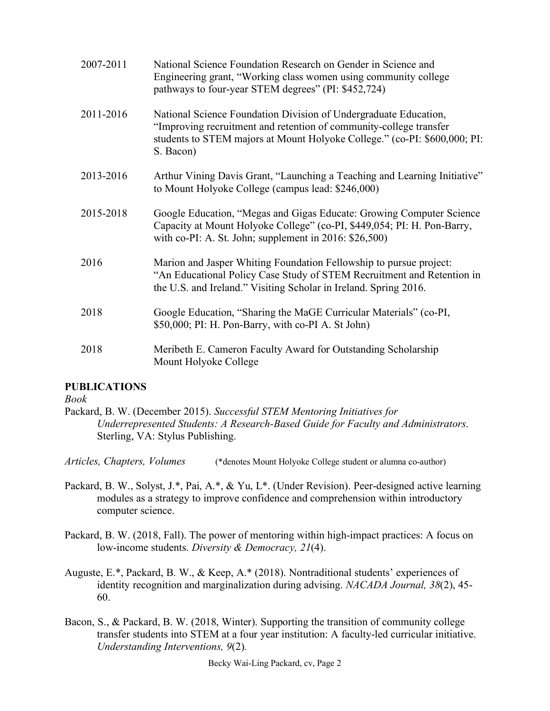| 2007-2011 | National Science Foundation Research on Gender in Science and<br>Engineering grant, "Working class women using community college<br>pathways to four-year STEM degrees" (PI: \$452,724)                                          |
|-----------|----------------------------------------------------------------------------------------------------------------------------------------------------------------------------------------------------------------------------------|
| 2011-2016 | National Science Foundation Division of Undergraduate Education,<br>"Improving recruitment and retention of community-college transfer<br>students to STEM majors at Mount Holyoke College." (co-PI: \$600,000; PI:<br>S. Bacon) |
| 2013-2016 | Arthur Vining Davis Grant, "Launching a Teaching and Learning Initiative"<br>to Mount Holyoke College (campus lead: \$246,000)                                                                                                   |
| 2015-2018 | Google Education, "Megas and Gigas Educate: Growing Computer Science<br>Capacity at Mount Holyoke College" (co-PI, \$449,054; PI: H. Pon-Barry,<br>with co-PI: A. St. John; supplement in $2016$ : \$26,500)                     |
| 2016      | Marion and Jasper Whiting Foundation Fellowship to pursue project:<br>"An Educational Policy Case Study of STEM Recruitment and Retention in<br>the U.S. and Ireland." Visiting Scholar in Ireland. Spring 2016.                 |
| 2018      | Google Education, "Sharing the MaGE Curricular Materials" (co-PI,<br>\$50,000; PI: H. Pon-Barry, with co-PI A. St John)                                                                                                          |
| 2018      | Meribeth E. Cameron Faculty Award for Outstanding Scholarship<br>Mount Holyoke College                                                                                                                                           |

## **PUBLICATIONS**

*Book*

Packard, B. W. (December 2015). *Successful STEM Mentoring Initiatives for Underrepresented Students: A Research-Based Guide for Faculty and Administrators*. Sterling, VA: Stylus Publishing.

*Articles, Chapters, Volumes* (\*denotes Mount Holyoke College student or alumna co-author)

- Packard, B. W., Solyst, J.\*, Pai, A.\*, & Yu, L\*. (Under Revision). Peer-designed active learning modules as a strategy to improve confidence and comprehension within introductory computer science.
- Packard, B. W. (2018, Fall). The power of mentoring within high-impact practices: A focus on low-income students. *Diversity & Democracy, 21*(4).
- Auguste, E.\*, Packard, B. W., & Keep, A.\* (2018). Nontraditional students' experiences of identity recognition and marginalization during advising. *NACADA Journal, 38*(2), 45- 60.
- Bacon, S., & Packard, B. W. (2018, Winter). Supporting the transition of community college transfer students into STEM at a four year institution: A faculty-led curricular initiative. *Understanding Interventions, 9*(2)*.*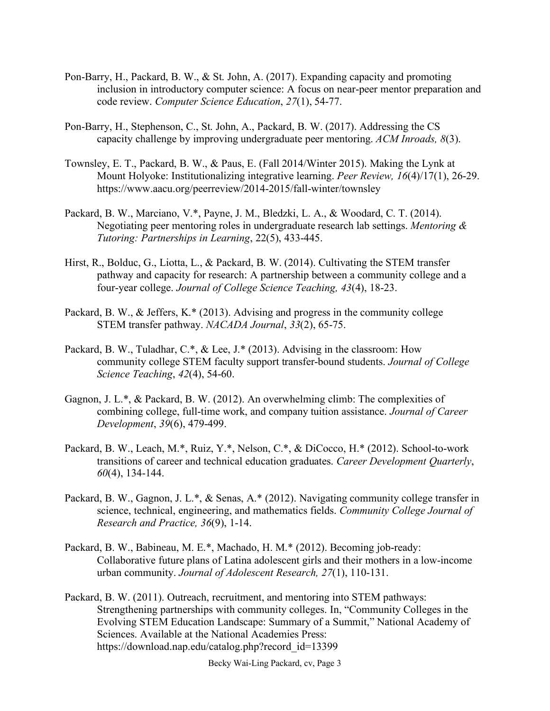- Pon-Barry, H., Packard, B. W., & St. John, A. (2017). Expanding capacity and promoting inclusion in introductory computer science: A focus on near-peer mentor preparation and code review. *Computer Science Education*, *27*(1), 54-77.
- Pon-Barry, H., Stephenson, C., St. John, A., Packard, B. W. (2017). Addressing the CS capacity challenge by improving undergraduate peer mentoring. *ACM Inroads, 8*(3).
- Townsley, E. T., Packard, B. W., & Paus, E. (Fall 2014/Winter 2015). Making the Lynk at Mount Holyoke: Institutionalizing integrative learning. *Peer Review, 16*(4)/17(1), 26-29. https://www.aacu.org/peerreview/2014-2015/fall-winter/townsley
- Packard, B. W., Marciano, V.\*, Payne, J. M., Bledzki, L. A., & Woodard, C. T. (2014). Negotiating peer mentoring roles in undergraduate research lab settings. *Mentoring & Tutoring: Partnerships in Learning*, 22(5), 433-445.
- Hirst, R., Bolduc, G., Liotta, L., & Packard, B. W. (2014). Cultivating the STEM transfer pathway and capacity for research: A partnership between a community college and a four-year college. *Journal of College Science Teaching, 43*(4), 18-23.
- Packard, B. W., & Jeffers, K.\* (2013). Advising and progress in the community college STEM transfer pathway. *NACADA Journal*, *33*(2), 65-75.
- Packard, B. W., Tuladhar, C.\*, & Lee, J.\* (2013). Advising in the classroom: How community college STEM faculty support transfer-bound students. *Journal of College Science Teaching*, *42*(4), 54-60.
- Gagnon, J. L.\*, & Packard, B. W. (2012). An overwhelming climb: The complexities of combining college, full-time work, and company tuition assistance. *Journal of Career Development*, *39*(6), 479-499.
- Packard, B. W., Leach, M.\*, Ruiz, Y.\*, Nelson, C.\*, & DiCocco, H.\* (2012). School-to-work transitions of career and technical education graduates. *Career Development Quarterly*, *60*(4), 134-144.
- Packard, B. W., Gagnon, J. L.\*, & Senas, A.\* (2012). Navigating community college transfer in science, technical, engineering, and mathematics fields. *Community College Journal of Research and Practice, 36*(9), 1-14.
- Packard, B. W., Babineau, M. E.\*, Machado, H. M.\* (2012). Becoming job-ready: Collaborative future plans of Latina adolescent girls and their mothers in a low-income urban community. *Journal of Adolescent Research, 27*(1), 110-131.
- Packard, B. W. (2011). Outreach, recruitment, and mentoring into STEM pathways: Strengthening partnerships with community colleges. In, "Community Colleges in the Evolving STEM Education Landscape: Summary of a Summit," National Academy of Sciences. Available at the National Academies Press: https://download.nap.edu/catalog.php?record\_id=13399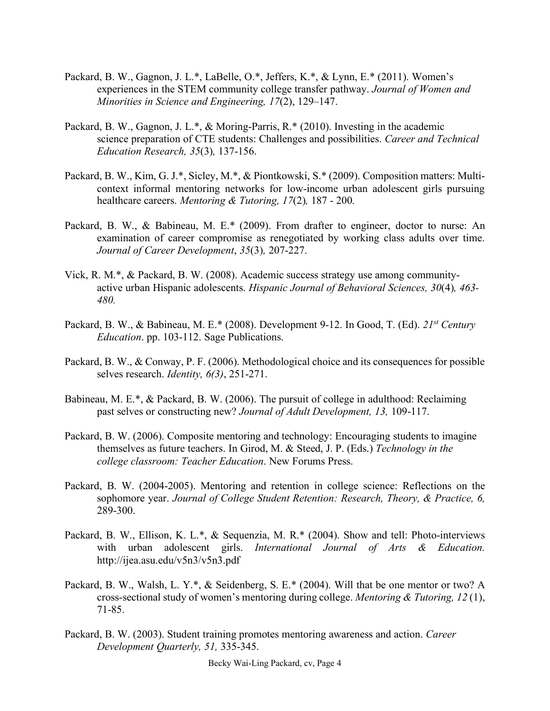- Packard, B. W., Gagnon, J. L.\*, LaBelle, O.\*, Jeffers, K.\*, & Lynn, E.\* (2011). Women's experiences in the STEM community college transfer pathway. *Journal of Women and Minorities in Science and Engineering, 17*(2), 129–147.
- Packard, B. W., Gagnon, J. L.\*, & Moring-Parris, R.\* (2010). Investing in the academic science preparation of CTE students: Challenges and possibilities. *Career and Technical Education Research, 35*(3)*,* 137-156.
- Packard, B. W., Kim, G. J.\*, Sicley, M.\*, & Piontkowski, S.\* (2009). Composition matters: Multicontext informal mentoring networks for low-income urban adolescent girls pursuing healthcare careers. *Mentoring & Tutoring, 17*(2)*,* 187 - 200*.*
- Packard, B. W., & Babineau, M. E.\* (2009). From drafter to engineer, doctor to nurse: An examination of career compromise as renegotiated by working class adults over time. *Journal of Career Development*, *35*(3)*,* 207-227.
- Vick, R. M.\*, & Packard, B. W. (2008). Academic success strategy use among communityactive urban Hispanic adolescents. *Hispanic Journal of Behavioral Sciences, 30*(4)*, 463- 480.*
- Packard, B. W., & Babineau, M. E.\* (2008). Development 9-12. In Good, T. (Ed). *21st Century Education*. pp. 103-112. Sage Publications.
- Packard, B. W., & Conway, P. F. (2006). Methodological choice and its consequences for possible selves research. *Identity, 6(3)*, 251-271.
- Babineau, M. E.\*, & Packard, B. W. (2006). The pursuit of college in adulthood: Reclaiming past selves or constructing new? *Journal of Adult Development, 13,* 109-117.
- Packard, B. W. (2006). Composite mentoring and technology: Encouraging students to imagine themselves as future teachers. In Girod, M. & Steed, J. P. (Eds.) *Technology in the college classroom: Teacher Education*. New Forums Press.
- Packard, B. W. (2004-2005). Mentoring and retention in college science: Reflections on the sophomore year. *Journal of College Student Retention: Research, Theory, & Practice, 6,*  289-300.
- Packard, B. W., Ellison, K. L.\*, & Sequenzia, M. R.\* (2004). Show and tell: Photo-interviews with urban adolescent girls. *International Journal of Arts & Education.* http://ijea.asu.edu/v5n3/v5n3.pdf
- Packard, B. W., Walsh, L. Y.\*, & Seidenberg, S. E.\* (2004). Will that be one mentor or two? A cross-sectional study of women's mentoring during college. *Mentoring & Tutoring, 12* (1), 71-85.
- Packard, B. W. (2003). Student training promotes mentoring awareness and action. *Career Development Quarterly, 51,* 335-345.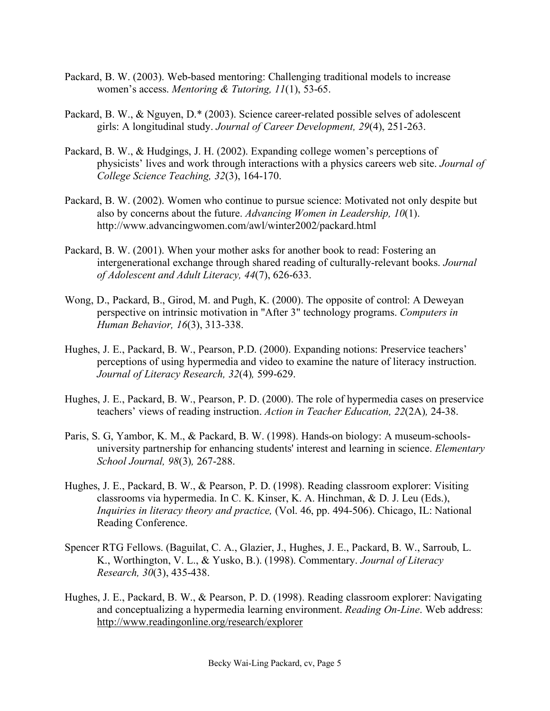- Packard, B. W. (2003). Web-based mentoring: Challenging traditional models to increase women's access. *Mentoring & Tutoring, 11*(1), 53-65.
- Packard, B. W., & Nguyen, D.\* (2003). Science career-related possible selves of adolescent girls: A longitudinal study. *Journal of Career Development, 29*(4), 251-263.
- Packard, B. W., & Hudgings, J. H. (2002). Expanding college women's perceptions of physicists' lives and work through interactions with a physics careers web site. *Journal of College Science Teaching, 32*(3), 164-170.
- Packard, B. W. (2002). Women who continue to pursue science: Motivated not only despite but also by concerns about the future. *Advancing Women in Leadership, 10*(1). http://www.advancingwomen.com/awl/winter2002/packard.html
- Packard, B. W. (2001). When your mother asks for another book to read: Fostering an intergenerational exchange through shared reading of culturally-relevant books. *Journal of Adolescent and Adult Literacy, 44*(7), 626-633.
- Wong, D., Packard, B., Girod, M. and Pugh, K. (2000). The opposite of control: A Deweyan perspective on intrinsic motivation in "After 3" technology programs. *Computers in Human Behavior, 16*(3), 313-338.
- Hughes, J. E., Packard, B. W., Pearson, P.D. (2000). Expanding notions: Preservice teachers' perceptions of using hypermedia and video to examine the nature of literacy instruction. *Journal of Literacy Research, 32*(4)*,* 599-629.
- Hughes, J. E., Packard, B. W., Pearson, P. D. (2000). The role of hypermedia cases on preservice teachers' views of reading instruction. *Action in Teacher Education, 22*(2A)*,* 24-38.
- Paris, S. G, Yambor, K. M., & Packard, B. W. (1998). Hands-on biology: A museum-schoolsuniversity partnership for enhancing students' interest and learning in science. *Elementary School Journal, 98*(3)*,* 267-288.
- Hughes, J. E., Packard, B. W., & Pearson, P. D. (1998). Reading classroom explorer: Visiting classrooms via hypermedia. In C. K. Kinser, K. A. Hinchman, & D. J. Leu (Eds.), *Inquiries in literacy theory and practice,* (Vol. 46, pp. 494-506). Chicago, IL: National Reading Conference.
- Spencer RTG Fellows. (Baguilat, C. A., Glazier, J., Hughes, J. E., Packard, B. W., Sarroub, L. K., Worthington, V. L., & Yusko, B.). (1998). Commentary. *Journal of Literacy Research, 30*(3), 435-438.
- Hughes, J. E., Packard, B. W., & Pearson, P. D. (1998). Reading classroom explorer: Navigating and conceptualizing a hypermedia learning environment. *Reading On-Line*. Web address: http://www.readingonline.org/research/explorer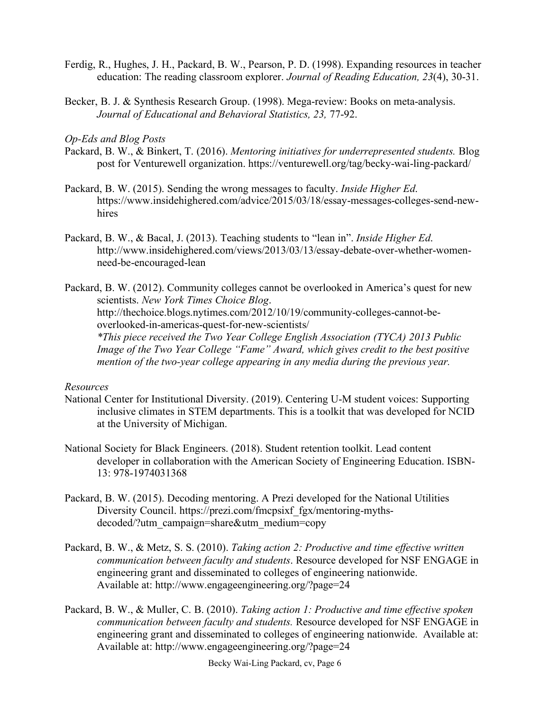- Ferdig, R., Hughes, J. H., Packard, B. W., Pearson, P. D. (1998). Expanding resources in teacher education: The reading classroom explorer. *Journal of Reading Education, 23*(4), 30-31.
- Becker, B. J. & Synthesis Research Group. (1998). Mega-review: Books on meta-analysis. *Journal of Educational and Behavioral Statistics, 23,* 77-92.

### *Op-Eds and Blog Posts*

- Packard, B. W., & Binkert, T. (2016). *Mentoring initiatives for underrepresented students.* Blog post for Venturewell organization. https://venturewell.org/tag/becky-wai-ling-packard/
- Packard, B. W. (2015). Sending the wrong messages to faculty. *Inside Higher Ed*. https://www.insidehighered.com/advice/2015/03/18/essay-messages-colleges-send-newhires
- Packard, B. W., & Bacal, J. (2013). Teaching students to "lean in". *Inside Higher Ed*. http://www.insidehighered.com/views/2013/03/13/essay-debate-over-whether-womenneed-be-encouraged-lean

Packard, B. W. (2012). Community colleges cannot be overlooked in America's quest for new scientists. *New York Times Choice Blog*. http://thechoice.blogs.nytimes.com/2012/10/19/community-colleges-cannot-beoverlooked-in-americas-quest-for-new-scientists/ *\*This piece received the Two Year College English Association (TYCA) 2013 Public Image of the Two Year College "Fame" Award, which gives credit to the best positive mention of the two-year college appearing in any media during the previous year.*

### *Resources*

- National Center for Institutional Diversity. (2019). Centering U-M student voices: Supporting inclusive climates in STEM departments. This is a toolkit that was developed for NCID at the University of Michigan.
- National Society for Black Engineers. (2018). Student retention toolkit. Lead content developer in collaboration with the American Society of Engineering Education. ISBN-13: 978-1974031368
- Packard, B. W. (2015). Decoding mentoring. A Prezi developed for the National Utilities Diversity Council. https://prezi.com/fmcpsixf\_fgx/mentoring-mythsdecoded/?utm\_campaign=share&utm\_medium=copy
- Packard, B. W., & Metz, S. S. (2010). *Taking action 2: Productive and time effective written communication between faculty and students*. Resource developed for NSF ENGAGE in engineering grant and disseminated to colleges of engineering nationwide. Available at: http://www.engageengineering.org/?page=24
- Packard, B. W., & Muller, C. B. (2010). *Taking action 1: Productive and time effective spoken communication between faculty and students.* Resource developed for NSF ENGAGE in engineering grant and disseminated to colleges of engineering nationwide. Available at: Available at: http://www.engageengineering.org/?page=24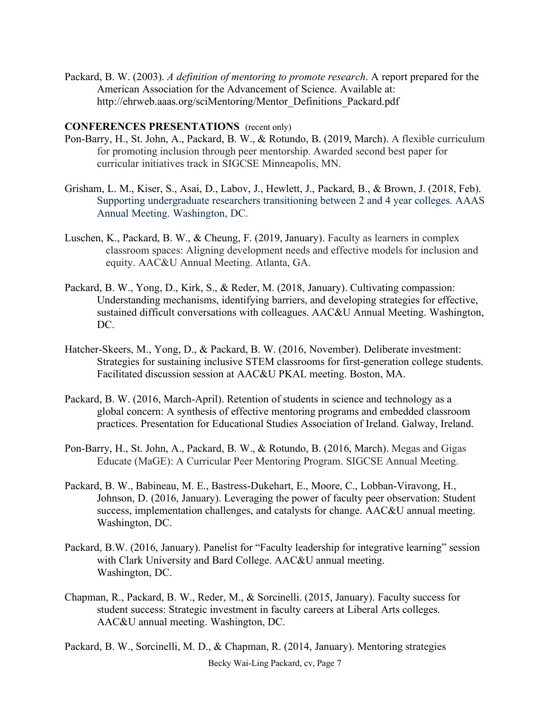Packard, B. W. (2003). *A definition of mentoring to promote research*. A report prepared for the American Association for the Advancement of Science. Available at: http://ehrweb.aaas.org/sciMentoring/Mentor\_Definitions\_Packard.pdf

### **CONFERENCES PRESENTATIONS** (recent only)

- Pon-Barry, H., St. John, A., Packard, B. W., & Rotundo, B. (2019, March). A flexible curriculum for promoting inclusion through peer mentorship. Awarded second best paper for curricular initiatives track in SIGCSE Minneapolis, MN.
- Grisham, L. M., Kiser, S., Asai, D., Labov, J., Hewlett, J., Packard, B., & Brown, J. (2018, Feb). Supporting undergraduate researchers transitioning between 2 and 4 year colleges. AAAS Annual Meeting. Washington, DC.
- Luschen, K., Packard, B. W., & Cheung, F. (2019, January). Faculty as learners in complex classroom spaces: Aligning development needs and effective models for inclusion and equity. AAC&U Annual Meeting. Atlanta, GA.
- Packard, B. W., Yong, D., Kirk, S., & Reder, M. (2018, January). Cultivating compassion: Understanding mechanisms, identifying barriers, and developing strategies for effective, sustained difficult conversations with colleagues. AAC&U Annual Meeting. Washington, DC.
- Hatcher-Skeers, M., Yong, D., & Packard, B. W. (2016, November). Deliberate investment: Strategies for sustaining inclusive STEM classrooms for first-generation college students. Facilitated discussion session at AAC&U PKAL meeting. Boston, MA.
- Packard, B. W. (2016, March-April). Retention of students in science and technology as a global concern: A synthesis of effective mentoring programs and embedded classroom practices. Presentation for Educational Studies Association of Ireland. Galway, Ireland.
- Pon-Barry, H., St. John, A., Packard, B. W., & Rotundo, B. (2016, March). Megas and Gigas Educate (MaGE): A Curricular Peer Mentoring Program. SIGCSE Annual Meeting.
- Packard, B. W., Babineau, M. E., Bastress-Dukehart, E., Moore, C., Lobban-Viravong, H., Johnson, D. (2016, January). Leveraging the power of faculty peer observation: Student success, implementation challenges, and catalysts for change. AAC&U annual meeting. Washington, DC.
- Packard, B.W. (2016, January). Panelist for "Faculty leadership for integrative learning" session with Clark University and Bard College. AAC&U annual meeting. Washington, DC.
- Chapman, R., Packard, B. W., Reder, M., & Sorcinelli. (2015, January). Faculty success for student success: Strategic investment in faculty careers at Liberal Arts colleges. AAC&U annual meeting. Washington, DC.

Becky Wai-Ling Packard, cv, Page 7 Packard, B. W., Sorcinelli, M. D., & Chapman, R. (2014, January). Mentoring strategies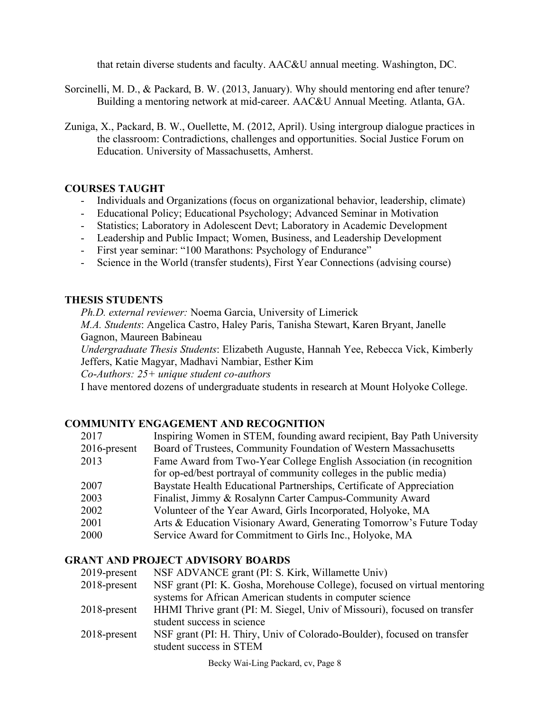that retain diverse students and faculty. AAC&U annual meeting. Washington, DC.

- Sorcinelli, M. D., & Packard, B. W. (2013, January). Why should mentoring end after tenure? Building a mentoring network at mid-career. AAC&U Annual Meeting. Atlanta, GA.
- Zuniga, X., Packard, B. W., Ouellette, M. (2012, April). Using intergroup dialogue practices in the classroom: Contradictions, challenges and opportunities. Social Justice Forum on Education. University of Massachusetts, Amherst.

## **COURSES TAUGHT**

- Individuals and Organizations (focus on organizational behavior, leadership, climate)
- Educational Policy; Educational Psychology; Advanced Seminar in Motivation
- Statistics; Laboratory in Adolescent Devt; Laboratory in Academic Development
- Leadership and Public Impact; Women, Business, and Leadership Development
- First year seminar: "100 Marathons: Psychology of Endurance"
- Science in the World (transfer students), First Year Connections (advising course)

## **THESIS STUDENTS**

*Ph.D. external reviewer:* Noema Garcia, University of Limerick

*M.A. Students*: Angelica Castro, Haley Paris, Tanisha Stewart, Karen Bryant, Janelle Gagnon, Maureen Babineau

*Undergraduate Thesis Students*: Elizabeth Auguste, Hannah Yee, Rebecca Vick, Kimberly Jeffers, Katie Magyar, Madhavi Nambiar, Esther Kim

*Co*-*Authors: 25+ unique student co-authors*

I have mentored dozens of undergraduate students in research at Mount Holyoke College.

## **COMMUNITY ENGAGEMENT AND RECOGNITION**

| 2017            | Inspiring Women in STEM, founding award recipient, Bay Path University |
|-----------------|------------------------------------------------------------------------|
| $2016$ -present | Board of Trustees, Community Foundation of Western Massachusetts       |
| 2013            | Fame Award from Two-Year College English Association (in recognition   |
|                 | for op-ed/best portrayal of community colleges in the public media)    |
| 2007            | Baystate Health Educational Partnerships, Certificate of Appreciation  |
| 2003            | Finalist, Jimmy & Rosalynn Carter Campus-Community Award               |
| 2002            | Volunteer of the Year Award, Girls Incorporated, Holyoke, MA           |
| 2001            | Arts & Education Visionary Award, Generating Tomorrow's Future Today   |
| 2000            | Service Award for Commitment to Girls Inc., Holyoke, MA                |

## **GRANT AND PROJECT ADVISORY BOARDS**

| 2019-present | NSF ADVANCE grant (PI: S. Kirk, Willamette Univ)                          |
|--------------|---------------------------------------------------------------------------|
| 2018-present | NSF grant (PI: K. Gosha, Morehouse College), focused on virtual mentoring |
|              | systems for African American students in computer science                 |
| 2018-present | HHMI Thrive grant (PI: M. Siegel, Univ of Missouri), focused on transfer  |
|              | student success in science                                                |
| 2018-present | NSF grant (PI: H. Thiry, Univ of Colorado-Boulder), focused on transfer   |
|              | student success in STEM                                                   |
|              |                                                                           |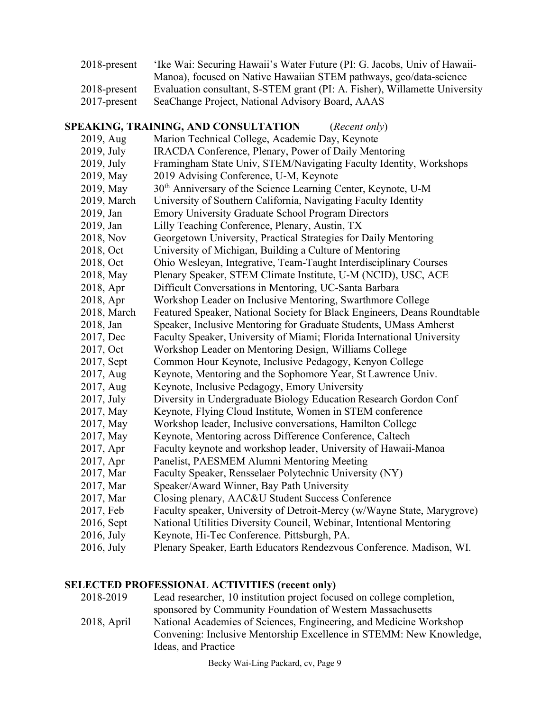| 2018-present | 'Ike Wai: Securing Hawaii's Water Future (PI: G. Jacobs, Univ of Hawaii-   |
|--------------|----------------------------------------------------------------------------|
|              | Manoa), focused on Native Hawaiian STEM pathways, geo/data-science         |
| 2018-present | Evaluation consultant, S-STEM grant (PI: A. Fisher), Willamette University |
| 2017-present | SeaChange Project, National Advisory Board, AAAS                           |

## **SPEAKING, TRAINING, AND CONSULTATION** (*Recent only*) 2019, Aug Marion Technical College, Academic Day, Keynote 2019, July IRACDA Conference, Plenary, Power of Daily Mentoring 2019, July Framingham State Univ, STEM/Navigating Faculty Identity, Workshops 2019, May 2019 Advising Conference, U-M, Keynote 2019, May 30th Anniversary of the Science Learning Center, Keynote, U-M 2019, March University of Southern California, Navigating Faculty Identity 2019, Jan Emory University Graduate School Program Directors 2019, Jan Lilly Teaching Conference, Plenary, Austin, TX 2018, Nov Georgetown University, Practical Strategies for Daily Mentoring 2018, Oct University of Michigan, Building a Culture of Mentoring 2018, Oct Ohio Wesleyan, Integrative, Team-Taught Interdisciplinary Courses 2018, May Plenary Speaker, STEM Climate Institute, U-M (NCID), USC, ACE 2018, Apr Difficult Conversations in Mentoring, UC-Santa Barbara 2018, Apr Workshop Leader on Inclusive Mentoring, Swarthmore College 2018, March Featured Speaker, National Society for Black Engineers, Deans Roundtable 2018, Jan Speaker, Inclusive Mentoring for Graduate Students, UMass Amherst 2017, Dec Faculty Speaker, University of Miami; Florida International University 2017, Oct Workshop Leader on Mentoring Design, Williams College 2017, Sept Common Hour Keynote, Inclusive Pedagogy, Kenyon College 2017, Aug Keynote, Mentoring and the Sophomore Year, St Lawrence Univ. 2017, Aug Keynote, Inclusive Pedagogy, Emory University 2017, July Diversity in Undergraduate Biology Education Research Gordon Conf 2017, May Keynote, Flying Cloud Institute, Women in STEM conference 2017, May Workshop leader, Inclusive conversations, Hamilton College 2017, May Keynote, Mentoring across Difference Conference, Caltech 2017, Apr Faculty keynote and workshop leader, University of Hawaii-Manoa 2017, Apr Panelist, PAESMEM Alumni Mentoring Meeting 2017, Mar Faculty Speaker, Rensselaer Polytechnic University (NY)

- 2017, Mar Speaker/Award Winner, Bay Path University
- 2017, Mar Closing plenary, AAC&U Student Success Conference
- 2017, Feb Faculty speaker, University of Detroit-Mercy (w/Wayne State, Marygrove)
- 2016, Sept National Utilities Diversity Council, Webinar, Intentional Mentoring
- 2016, July Keynote, Hi-Tec Conference. Pittsburgh, PA.
- 2016, July Plenary Speaker, Earth Educators Rendezvous Conference. Madison, WI.

### **SELECTED PROFESSIONAL ACTIVITIES (recent only)**

| Lead researcher, 10 institution project focused on college completion, |
|------------------------------------------------------------------------|
| sponsored by Community Foundation of Western Massachusetts             |
| National Academies of Sciences, Engineering, and Medicine Workshop     |
| Convening: Inclusive Mentorship Excellence in STEMM: New Knowledge,    |
| Ideas, and Practice                                                    |
|                                                                        |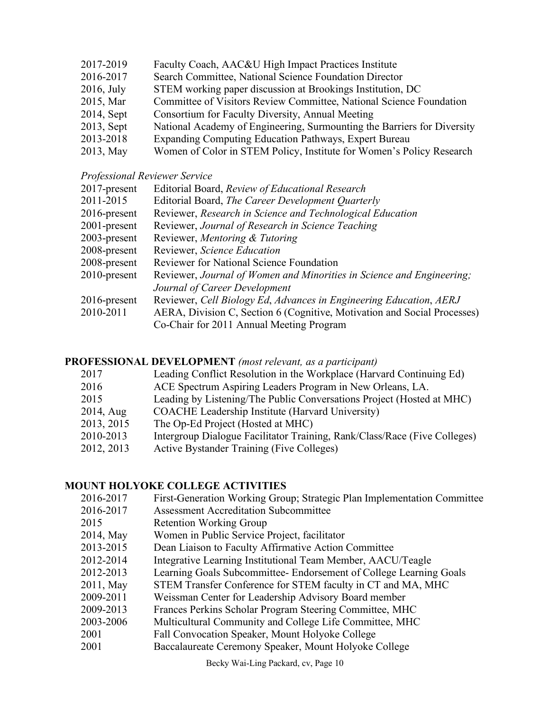- 2017-2019 Faculty Coach, AAC&U High Impact Practices Institute
- 2016-2017 Search Committee, National Science Foundation Director
- 2016, July STEM working paper discussion at Brookings Institution, DC
- 2015, Mar Committee of Visitors Review Committee, National Science Foundation
- 2014, Sept Consortium for Faculty Diversity, Annual Meeting
- 2013, Sept National Academy of Engineering, Surmounting the Barriers for Diversity
- 2013-2018 Expanding Computing Education Pathways, Expert Bureau
- 2013, May Women of Color in STEM Policy, Institute for Women's Policy Research

### *Professional Reviewer Service*

- 2017-present Editorial Board, *Review of Educational Research*
- 2011-2015 Editorial Board, *The Career Development Quarterly*
- 2016-present Reviewer, *Research in Science and Technological Education*
- 2001-present Reviewer, *Journal of Research in Science Teaching*
- 2003-present Reviewer, *Mentoring & Tutoring*
- 2008-present Reviewer, *Science Education*
- 2008-present Reviewer for National Science Foundation
- 2010-present Reviewer, *Journal of Women and Minorities in Science and Engineering; Journal of Career Development*
- 2016-present Reviewer, *Cell Biology Ed*, *Advances in Engineering Education*, *AERJ*
- 2010-2011 AERA, Division C, Section 6 (Cognitive, Motivation and Social Processes) Co-Chair for 2011 Annual Meeting Program

### **PROFESSIONAL DEVELOPMENT** *(most relevant, as a participant)*

| 2017 |              | Leading Conflict Resolution in the Workplace (Harvard Continuing Ed)      |
|------|--------------|---------------------------------------------------------------------------|
| 2016 |              | ACE Spectrum Aspiring Leaders Program in New Orleans, LA.                 |
| 2015 |              | Leading by Listening/The Public Conversations Project (Hosted at MHC)     |
|      | $2014$ , Aug | <b>COACHE</b> Leadership Institute (Harvard University)                   |
|      | 2013, 2015   | The Op-Ed Project (Hosted at MHC)                                         |
|      | 2010-2013    | Intergroup Dialogue Facilitator Training, Rank/Class/Race (Five Colleges) |
|      | 2012, 2013   | <b>Active Bystander Training (Five Colleges)</b>                          |

## **MOUNT HOLYOKE COLLEGE ACTIVITIES**

- 2016-2017 First-Generation Working Group; Strategic Plan Implementation Committee
- 2016-2017 Assessment Accreditation Subcommittee
- 2015 Retention Working Group
- 2014, May Women in Public Service Project, facilitator
- 2013-2015 Dean Liaison to Faculty Affirmative Action Committee
- 2012-2014 Integrative Learning Institutional Team Member, AACU/Teagle
- 2012-2013 Learning Goals Subcommittee- Endorsement of College Learning Goals
- 2011, May STEM Transfer Conference for STEM faculty in CT and MA, MHC
- 2009-2011 Weissman Center for Leadership Advisory Board member
- 2009-2013 Frances Perkins Scholar Program Steering Committee, MHC
- 2003-2006 Multicultural Community and College Life Committee, MHC
- 2001 Fall Convocation Speaker, Mount Holyoke College
- 2001 Baccalaureate Ceremony Speaker, Mount Holyoke College